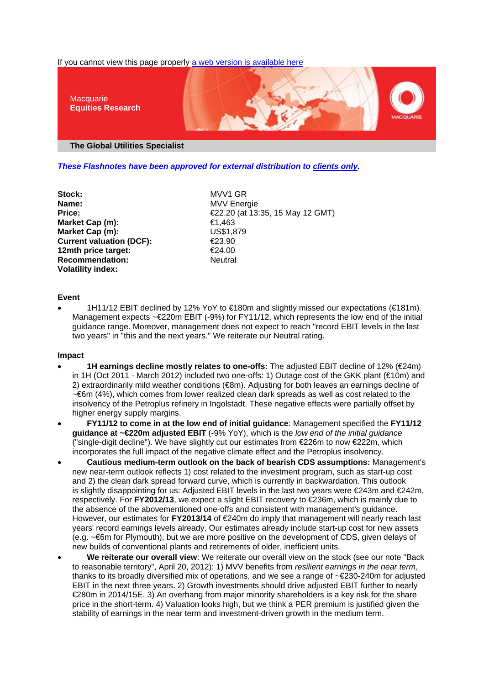If you cannot view this page properly a web version is available here



*These Flashnotes have been approved for external distribution to clients only.*

Stock: MVV1 GR **Name:** MVV Energie **Market Cap (m):** €1,463 **Market Cap (m):** US\$1,879 **Current valuation (DCF):** €23.90<br>12mth price target: €24.00 **12mth price target: Recommendation:** Neutral **Volatility index:** 

**Price:** €22.20 (at 13:35, 15 May 12 GMT)

# **Event**

• 1H11/12 EBIT declined by 12% YoY to €180m and slightly missed our expectations (€181m). Management expects ~€220m EBIT (-9%) for FY11/12, which represents the low end of the initial guidance range. Moreover, management does not expect to reach "record EBIT levels in the last two years" in "this and the next years." We reiterate our Neutral rating.

# **Impact**

- **1H earnings decline mostly relates to one-offs:** The adjusted EBIT decline of 12% (€24m) in 1H (Oct 2011 - March 2012) included two one-offs: 1) Outage cost of the GKK plant (€10m) and 2) extraordinarily mild weather conditions (€8m). Adjusting for both leaves an earnings decline of ~€6m (4%), which comes from lower realized clean dark spreads as well as cost related to the insolvency of the Petroplus refinery in Ingolstadt. These negative effects were partially offset by higher energy supply margins.
- **FY11/12 to come in at the low end of initial guidance**: Management specified the **FY11/12 guidance at ~€220m adjusted EBIT** (-9% YoY), which is the *low end of the initial guidance* ("single-digit decline"). We have slightly cut our estimates from €226m to now €222m, which incorporates the full impact of the negative climate effect and the Petroplus insolvency.
- **Cautious medium-term outlook on the back of bearish CDS assumptions:** Management's new near-term outlook reflects 1) cost related to the investment program, such as start-up cost and 2) the clean dark spread forward curve, which is currently in backwardation. This outlook is slightly disappointing for us: Adjusted EBIT levels in the last two years were  $\epsilon$ 243m and  $\epsilon$ 242m, respectively. For **FY2012/13**, we expect a slight EBIT recovery to €236m, which is mainly due to the absence of the abovementioned one-offs and consistent with management's guidance. However, our estimates for **FY2013/14** of €240m do imply that management will nearly reach last years' record earnings levels already. Our estimates already include start-up cost for new assets (e.g. ~€6m for Plymouth), but we are more positive on the development of CDS, given delays of new builds of conventional plants and retirements of older, inefficient units.
- **We reiterate our overall view**: We reiterate our overall view on the stock (see our note "Back to reasonable territory", April 20, 2012): 1) MVV benefits from *resilient earnings in the near term*, thanks to its broadly diversified mix of operations, and we see a range of ~€230-240m for adjusted EBIT in the next three years. 2) Growth investments should drive adjusted EBIT further to nearly €280m in 2014/15E. 3) An overhang from major minority shareholders is a key risk for the share price in the short-term. 4) Valuation looks high, but we think a PER premium is justified given the stability of earnings in the near term and investment-driven growth in the medium term.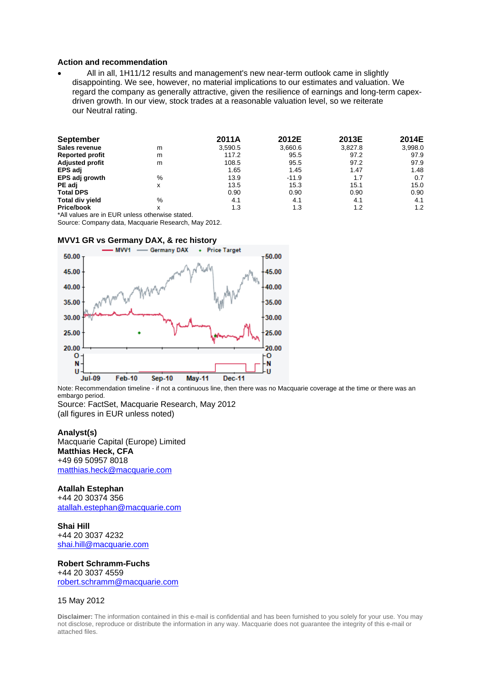### **Action and recommendation**

• All in all, 1H11/12 results and management's new near-term outlook came in slightly disappointing. We see, however, no material implications to our estimates and valuation. We regard the company as generally attractive, given the resilience of earnings and long-term capexdriven growth. In our view, stock trades at a reasonable valuation level, so we reiterate our Neutral rating.

| <b>September</b>       |   | 2011A   | 2012E   | 2013E   | 2014E   |
|------------------------|---|---------|---------|---------|---------|
| Sales revenue          | m | 3,590.5 | 3,660.6 | 3,827.8 | 3,998.0 |
| <b>Reported profit</b> | m | 117.2   | 95.5    | 97.2    | 97.9    |
| <b>Adjusted profit</b> | m | 108.5   | 95.5    | 97.2    | 97.9    |
| <b>EPS adj</b>         |   | 1.65    | 1.45    | 1.47    | 1.48    |
| EPS adj growth         | % | 13.9    | $-11.9$ | 1.7     | 0.7     |
| PE adj                 | x | 13.5    | 15.3    | 15.1    | 15.0    |
| <b>Total DPS</b>       |   | 0.90    | 0.90    | 0.90    | 0.90    |
| <b>Total div yield</b> | % | 4.1     | 4.1     | 4.1     | 4.1     |
| <b>Price/book</b>      | x | 1.3     | 1.3     | 1.2     | 1.2     |

\*All values are in EUR unless otherwise stated.

Source: Company data, Macquarie Research, May 2012.

#### **MVV1 GR vs Germany DAX, & rec history**



Note: Recommendation timeline - if not a continuous line, then there was no Macquarie coverage at the time or there was an embargo period.

Source: FactSet, Macquarie Research, May 2012 (all figures in EUR unless noted)

#### **Analyst(s)**

Macquarie Capital (Europe) Limited **Matthias Heck, CFA** +49 69 50957 8018 matthias.heck@macquarie.com

# **Atallah Estephan**

+44 20 30374 356 atallah.estephan@macquarie.com

**Shai Hill** +44 20 3037 4232 shai.hill@macquarie.com

**Robert Schramm-Fuchs** +44 20 3037 4559 robert.schramm@macquarie.com

### 15 May 2012

**Disclaimer:** The information contained in this e-mail is confidential and has been furnished to you solely for your use. You may not disclose, reproduce or distribute the information in any way. Macquarie does not guarantee the integrity of this e-mail or attached files.